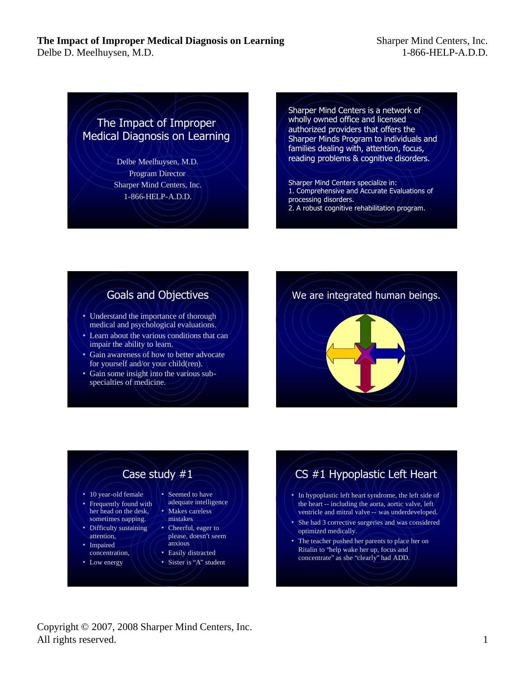Delbe D. Meelhuysen, M.D.

Sharper Mind Centers, Inc. 1-866-HELP-A.D.D.

# The Impact of Improper Medical Diagnosis on Learning

Delbe Meelhuysen, M.D. Program Director Sharper Mind Centers, Inc. 1-866-HELP-A.D.D.

Sharper Mind Centers is a network of wholly owned office and licensed authorized providers that offers the Sharper Minds Program to individuals and families dealing with, attention, focus, reading problems & cognitive disorders.

- Sharper Mind Centers specialize in: 1. Comprehensive and Accurate Evaluations of processing disorders.
- 2. A robust cognitive rehabilitation program.

# Goals and Objectives

- Understand the importance of thorough medical and psychological evaluations.
- Learn about the various conditions that can impair the ability to learn.
- Gain awareness of how to better advocate for yourself and/or your child(ren).
- Gain some insight into the various subspecialties of medicine.



# Case study #1

- $\div$  10 year-old female
- Frequently found with her head on the desk, sometimes napping.
- Difficulty sustaining attention,
- **Impaired** concentration,
- Low energy
- Seemed to have adequate intelligence • Makes careless
- mistakes
- Cheerful, eager to please, doesn't seem anxious
- Easily distracted
- Sister is "A" student

# CS #1 Hypoplastic Left Heart

- In hypoplastic left heart syndrome, the left side of the heart -- including the aorta, aortic valve, left ventricle and mitral valve -- was underdeveloped.
- She had 3 corrective surgeries and was considered optimized medically.
- The teacher pushed her parents to place her on Ritalin to "help wake her up, focus and concentrate" as she "clearly" had ADD.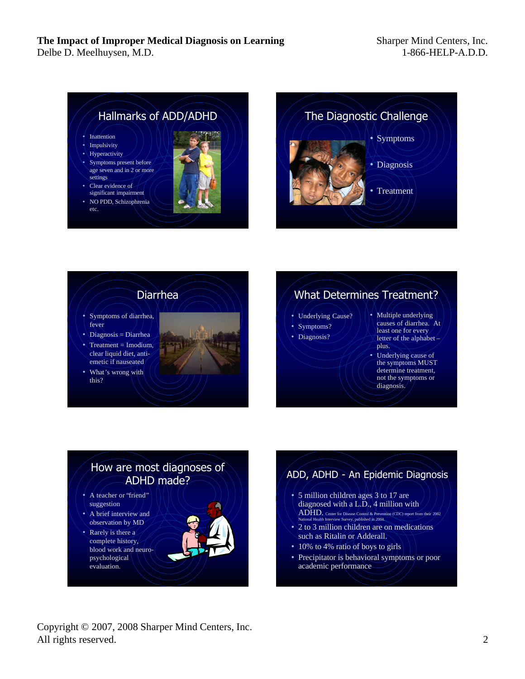#### **The Impact of Improper Medical Diagnosis on Learning** Delbe D. Meelhuysen, M.D.







# What Determines Treatment?

- Underlying Cause?
- Symptoms?
- Diagnosis?
- Multiple underlying causes of diarrhea. At least one for every letter of the alphabet – plus.
- Underlying cause of the symptoms MUST determine treatment, not the symptoms or diagnosis/

# How are most diagnoses of ADHD made?

- A teacher or "friend" suggestion
- A brief interview and observation by MD
- Rarely is there a complete history, blood work and neuropsychological evaluation.

## ADD, ADHD - An Epidemic Diagnosis

- 5 million children ages 3 to 17 are diagnosed with a L.D., 4 million with ADHD. Center for Disease Control & Prevention (CDC) report from their 2002 National Health Interview Survey, published in 2004.
- 2 to 3 million children are on medications such as Ritalin or Adderall.
- 10% to 4% ratio of boys to girls
- Precipitator is behavioral symptoms or poor academic performance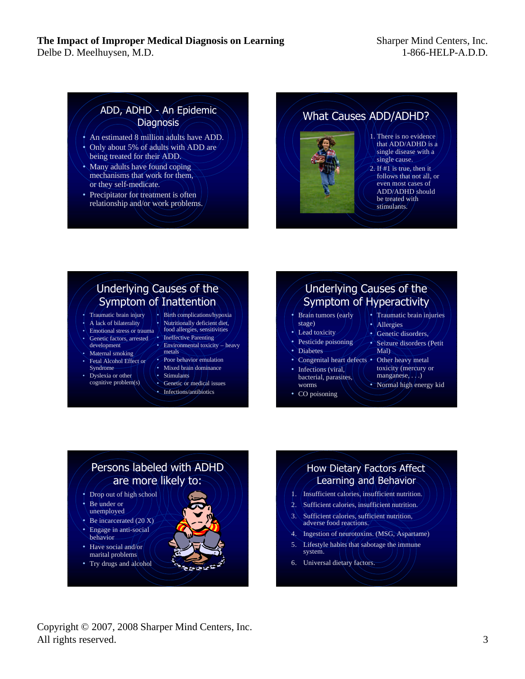Delbe D. Meelhuysen, M.D.

## ADD, ADHD - An Epidemic **Diagnosis**

- An estimated 8 million adults have ADD.
- Only about 5% of adults with ADD are being treated for their ADD.
- Many adults have found coping mechanisms that work for them, or they self-medicate.
- Precipitator for treatment is often relationship and/or work problems.





#### 1. There is no evidence that ADD/ADHD is a single disease with a single cause.

2. If #1 is true, then it follows that not all, or even most cases of ADD/ADHD should be treated with stimulants.

# Underlying Causes of the Symptom of Inattention

- Traumatic brain injury
- A lack of bilaterality
- Emotional stress or trauma
- Genetic factors, arrested development Maternal smoking
- Fetal Alcohol Effect or Syndrome
- Dyslexia or other cognitive problem(s)
- Nutritionally deficient diet, food allergies, sensitivities
- **Ineffective Parenting** • Environmental toxicity – heavy metals

Birth complications/hypoxia

- Poor behavior emulation
- Mixed brain dominance
- **Stimulants**
- Genetic or medical issues
- Infections/antibiotics

# Underlying Causes of the Symptom of Hyperactivity

- Brain tumors (early stage)
- Lead toxicity
- Pesticide poisoning
- Diabetes
- Congenital heart defects Other heavy metal
- Infections (viral, bacterial, parasites, worms
- CO poisoning
- Traumatic brain injuries
- Allergies
- Genetic disorders,
- Seizure disorders (Petit Mal)
- toxicity (mercury or  $m$ anganese,  $\ldots$ ) • Normal high energy kid

# Persons labeled with ADHD are more likely to:

- Drop out of high school
- Be under or unemployed
- Be incarcerated  $(20 X)$
- Engage in anti-social behavior
- Have social and/or marital problems
- Try drugs and alcohol

## How Dietary Factors Affect Learning and Behavior

- 1. Insufficient calories, insufficient nutrition.
- 2. Sufficient calories, insufficient nutrition.
- 3. Sufficient calories, sufficient nutrition, adverse food reactions.
- 4. Ingestion of neurotoxins. (MSG, Aspartame)
- Lifestyle habits that sabotage the immune system.
- 6. Universal dietary factors.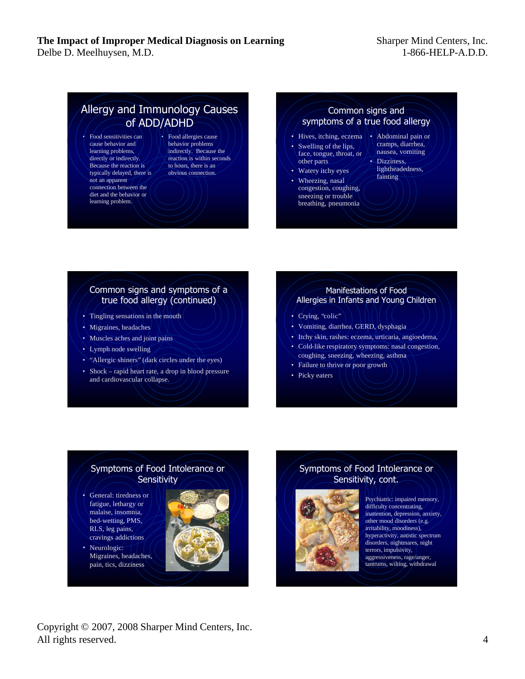#### **The Impact of Improper Medical Diagnosis on Learning** Delbe D. Meelhuysen, M.D.

## Allergy and Immunology Causes of ADD/ADHD

- Food sensitivities can cause behavior and learning problems, directly or indirectly. Because the reaction is typically delayed, there is not an apparent connection between the diet and the behavior or learning problem.
- Food allergies cause behavior problems indirectly. Because the reaction is within seconds to hours, there is an obvious connection.

#### Common signs and symptoms of a true food allergy

- Hives, itching, eczema Swelling of the lips, face, tongue, throat, or other parts
- Watery itchy eyes
- Wheezing, nasal congestion, coughing, sneezing or trouble breathing, pneumonia
- Abdominal pain or cramps, diarrhea, nausea, vomiting
- Dizziness, lightheadedness, fainting

#### Common signs and symptoms of a true food allergy (continued)

- Tingling sensations in the mouth
- Migraines, headaches
- Muscles aches and joint pains
- Lymph node swelling
- "Allergic shiners" (dark circles under the eyes)
- Shock rapid heart rate, a drop in blood pressure and cardiovascular collapse.

#### Manifestations of Food Allergies in Infants and Young Children

- Crying, "colic"
- Vomiting, diarrhea, GERD, dysphagia
- Itchy skin, rashes: eczema, urticaria, angioedema,
- Cold-like respiratory symptoms: nasal congestion, coughing, sneezing, wheezing, asthma
- Failure to thrive or poor growth
- Picky eaters

#### Symptoms of Food Intolerance or **Sensitivity**

- General: tiredness or fatigue, lethargy or malaise, insomnia, bed-wetting, PMS, RLS, leg pains, cravings addictions
- Neurologic: Migraines, headaches, pain, tics, dizziness

### Symptoms of Food Intolerance or Sensitivity, cont.



Psychiatric: impaired memory, difficulty concentrating, inattention, depression, anxiety, other mood disorders (e.g. irritability, moodiness), hyperactivity, autistic spectrum disorders, nightmares, night terrors, impulsivity, aggressiveness, rage/anger, tantrums, wilting, withdrawal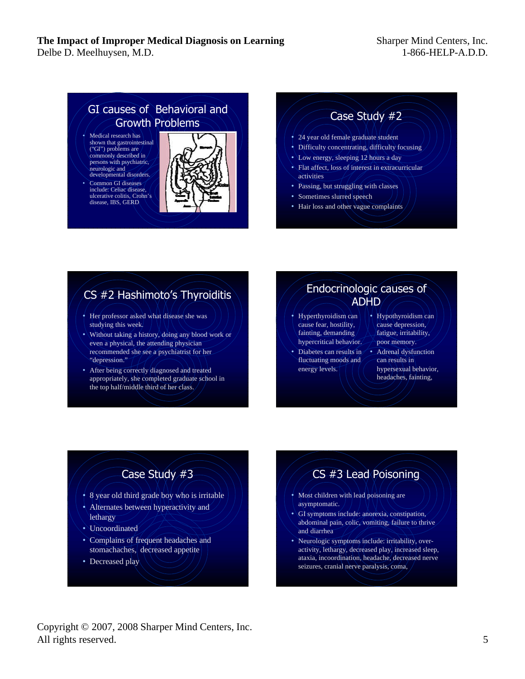Delbe D. Meelhuysen, M.D.

#### Sharper Mind Centers, Inc. 1-866-HELP-A.D.D.

# GI causes of Behavioral and Growth Problems

- Medical research has shown that gastrointestinal ("GI") problems are commonly described in persons with psychiatric, neurologic and developmental disorders.
- Common GI diseases include: Celiac disease, ulcerative colitis, Crohn's disease, IBS, GERD

## Case Study #2

- 24 year old female graduate student
- Difficulty concentrating, difficulty focusing
- Low energy, sleeping 12 hours a day
- Flat affect, loss of interest in extracurricular activities
- Passing, but struggling with classes
- Sometimes slurred speech
- Hair loss and other vague complaints

# CS #2 Hashimoto's Thyroiditis

- Her professor asked what disease she was studying this week.
- Without taking a history, doing any blood work or even a physical, the attending physician recommended she see a psychiatrist for her "depression."
- After being correctly diagnosed and treated appropriately, she completed graduate school in the top half/middle third of her class.

## Endocrinologic causes of ADHD

- Hyperthyroidism can cause fear, hostility, fainting, demanding hypercritical behavior.
- Diabetes can results in fluctuating moods and energy levels.
- Hypothyroidism can cause depression, fatigue, irritability, poor memory.
- Adrenal dysfunction can results in hypersexual behavior, headaches, fainting,

# Case Study #3

- 8 year old third grade boy who is irritable
- Alternates between hyperactivity and lethargy
- Uncoordinated
- Complains of frequent headaches and stomachaches, decreased appetite
- Decreased play

# CS #3 Lead Poisoning

- Most children with lead poisoning are asymptomatic.
- GI symptoms include: anorexia, constipation, abdominal pain, colic, vomiting, failure to thrive and diarrhea
- Neurologic symptoms include: irritability, overactivity, lethargy, decreased play, increased sleep, ataxia, incoordination, headache, decreased nerve seizures, cranial nerve paralysis, coma,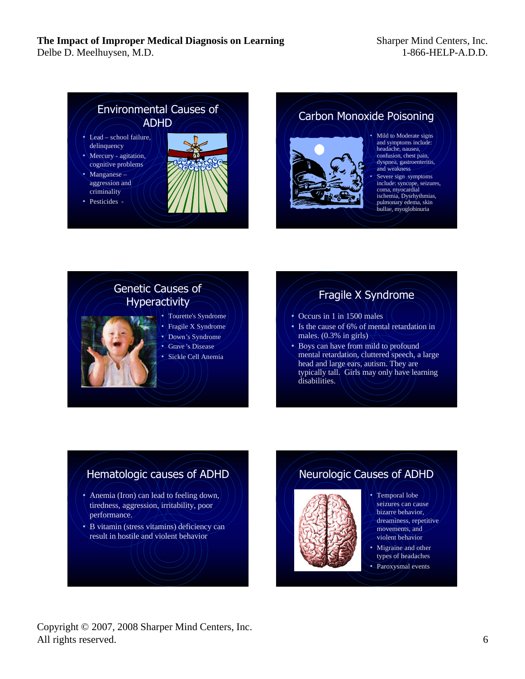Delbe D. Meelhuysen, M.D.



Carbon Monoxide Poisoning



- Mild to Moderate signs and symptoms include: headache, nausea, confusion, chest pain, dyspnea, gastroenteritis, and weakness
- Severe sign symptoms include: syncope, seizures, coma, myocardial ischemia, Dysrhythmias, pulmonary edema, skin bullae, myoglobinuria



# Fragile X Syndrome

- $\div$  Occurs in 1 in 1500 males
- Is the cause of 6% of mental retardation in males. (0.3% in girls)
- Boys can have from mild to profound mental retardation, cluttered speech, a large head and large ears, autism. They are typically tall. Girls may only have learning disabilities.

# Hematologic causes of ADHD

- Anemia (Iron) can lead to feeling down, tiredness, aggression, irritability, poor performance.
- B vitamin (stress vitamins) deficiency can result in hostile and violent behavior

# Neurologic Causes of ADHD



- Temporal lobe seizures can cause bizarre behavior, dreaminess, repetitive movements, and violent behavior
- Migraine and other types of headaches
- Paroxysmal events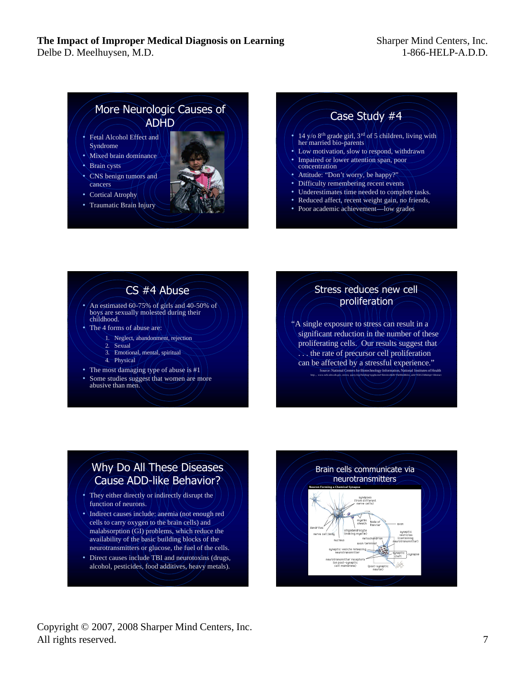Delbe D. Meelhuysen, M.D.

## More Neurologic Causes of ADHD

- Fetal Alcohol Effect and Syndrome
- Mixed brain dominance
- **Brain cysts**
- CNS benign tumors and cancers
- **Cortical Atrophy**
- Traumatic Brain Injury

## Case Study #4

- 14 y/o 8<sup>th</sup> grade girl,  $3^{rd}$  of 5 children, living with her married bio-parents
- Low motivation, slow to respond, withdrawn
- Impaired or lower attention span, poor concentration
	- Attitude: "Don't worry, be happy?"
	- Difficulty remembering recent events
- Underestimates time needed to complete tasks.
- Reduced affect, recent weight gain, no friends,
- Poor academic achievement—low grades

# CS #4 Abuse

- An estimated 60-75% of girls and 40-50% of boys are sexually molested during their childhood.
- The 4 forms of abuse are:
	- 1. Neglect, abandonment, rejection
	- 2. Sexual
	- 3. Emotional, mental, spiritual
	- 4. Physical
- The most damaging type of abuse is #1
- Some studies suggest that women are more abusive than men.

### Stress reduces new cell proliferation

"A single exposure to stress can result in a significant reduction in the number of these proliferating cells. Our results suggest that . . . the rate of precursor cell proliferation can be affected by a stressful experience." Source: National Centers for Biotechnology Information, National Institutes of Health

http:, , www.ncbi.nlm.nih.gov, entrez, query.fcgi?holding=npg&cmd=Retrieve&db=PubMed&list\_uids=9501234&dopt=Abstract

# Why Do All These Diseases Cause ADD-like Behavior?

- They either directly or indirectly disrupt the function of neurons.
- Indirect causes include: anemia (not enough red cells to carry oxygen to the brain cells) and malabsorption (GI) problems, which reduce the availability of the basic building blocks of the neurotransmitters or glucose, the fuel of the cells.
- Direct causes include TBI and neurotoxins (drugs, alcohol, pesticides, food additives, heavy metals).

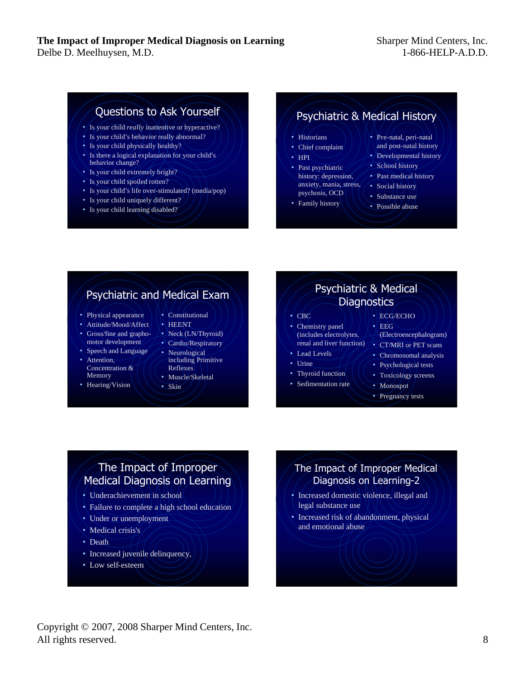# Questions to Ask Yourself

- Is your child *really* inattentive or hyperactive?
- Is your child's behavior really abnormal?
- Is your child physically healthy?
- Is there a logical explanation for your child's behavior change?
- Is your child extremely bright?
- Is your child spoiled rotten?
- Is your child's life over-stimulated? (media/pop)
- Is your child uniquely different?
- Is your child learning disabled?

## Psychiatric & Medical History

- **Historians**
- Chief complaint
- $\bullet$   $\overline{\mathrm{HPI}}$
- Past psychiatric history: depression, anxiety, mania, stress, psychosis, OCD
- Family history
- Pre-natal, peri-natal and post-natal history
- Developmental history
- School history
- Past medical history
- Social history
- Substance use
- Possible abuse

# Psychiatric and Medical Exam

- Physical appearance
- Attitude/Mood/Affect
- Gross/fine and grapho
	- motor development
- Speech and Language
- Attention. Concentration & Memory
- Hearing/Vision
- Constitutional • HEENT
- Neck (LN/Thyroid)
- Cardio/Respiratory
- Neurological including Primitive Reflexes
- Muscle/Skeletal
- Skin



• Pregnancy tests

# The Impact of Improper Medical Diagnosis on Learning

- Underachievement in school
- Failure to complete a high school education/
- Under or unemployment
- Medical crisis's
- Death
- Increased juvenile delinquency,
- Low self-esteem

## The Impact of Improper Medical Diagnosis on Learning-2

- Increased domestic violence, illegal and legal substance use
- Increased risk of abandonment, physical and emotional abuse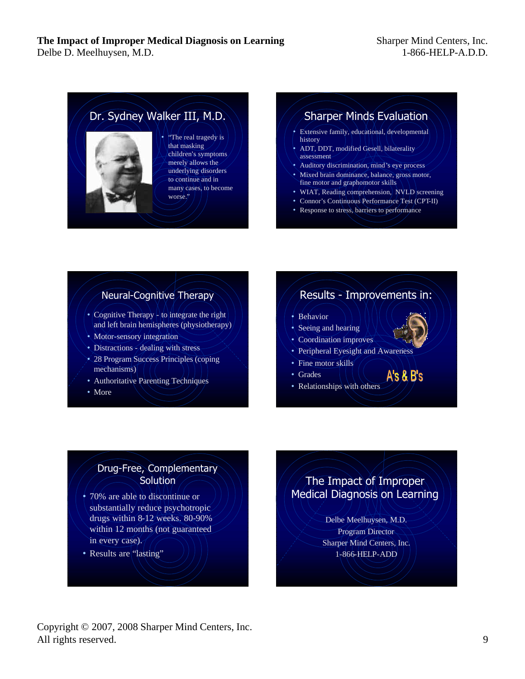

• "The real tragedy is that masking children's symptoms merely allows the underlying disorders to continue and in many cases, to become

## Sharper Minds Evaluation

- Extensive family, educational, developmental history
- ADT, DDT, modified Gesell, bilaterality assessment
- Auditory discrimination, mind's eye process
- Mixed brain dominance, balance, gross motor, fine motor and graphomotor skills
- WIAT, Reading comprehension, NVLD screening
- Connor's Continuous Performance Test (CPT-II)
- Response to stress, barriers to performance

### Neural-Cognitive Therapy

- Cognitive Therapy to integrate the right and left brain hemispheres (physiotherapy)
- Motor-sensory integration
- Distractions dealing with stress
- 28 Program Success Principles (coping mechanisms)
- Authoritative Parenting Techniques
- More

## Results - Improvements in:

 $A's \& B's$ 

- Behavior
- Seeing and hearing
- Coordination improves
- Peripheral Eyesight and Awareness
- Fine motor skills
- Grades
- Relationships with others

### Drug-Free, Complementary **Solution**

- 70% are able to discontinue or substantially reduce psychotropic drugs within 8-12 weeks. 80-90% within 12 months (not guaranteed in every case).
- Results are "lasting"

## The Impact of Improper Medical Diagnosis on Learning

Delbe Meelhuysen, M.D. Program Director Sharper Mind Centers, Inc. 1-866-HELP-ADD